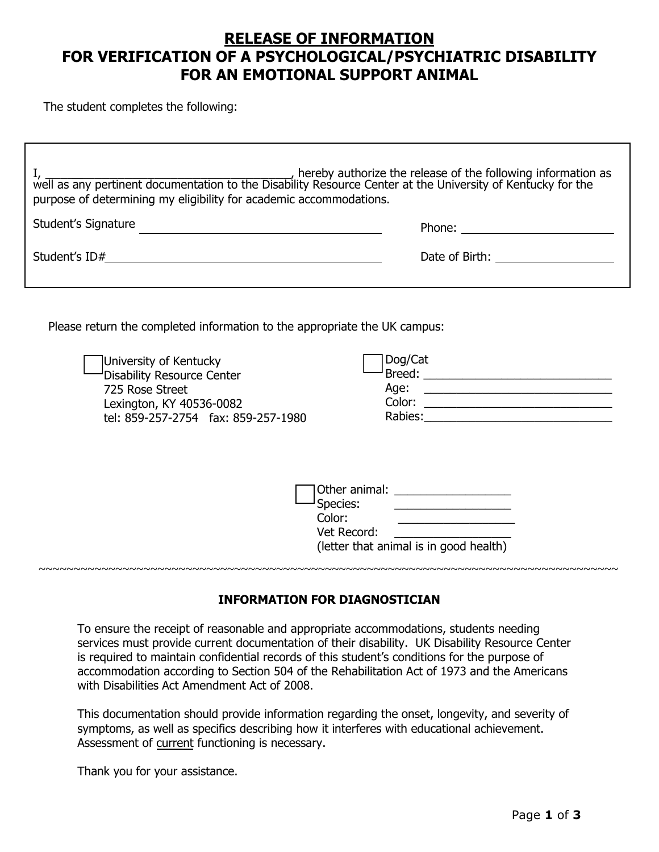# **RELEASE OF INFORMATION FOR VERIFICATION OF A PSYCHOLOGICAL/PSYCHIATRIC DISABILITY FOR AN EMOTIONAL SUPPORT ANIMAL**

The student completes the following:

| purpose of determining my eligibility for academic accommodations.                                                                                                                                                      |                                                                                                                                                                                                                                |
|-------------------------------------------------------------------------------------------------------------------------------------------------------------------------------------------------------------------------|--------------------------------------------------------------------------------------------------------------------------------------------------------------------------------------------------------------------------------|
| Student's Signature                                                                                                                                                                                                     | Phone: the contract of the contract of the contract of the contract of the contract of the contract of the contract of the contract of the contract of the contract of the contract of the contract of the contract of the con |
|                                                                                                                                                                                                                         | Date of Birth: ______________________                                                                                                                                                                                          |
| Please return the completed information to the appropriate the UK campus:<br>University of Kentucky<br>Disability Resource Center<br>725 Rose Street<br>Lexington, KY 40536-0082<br>tel: 859-257-2754 fax: 859-257-1980 | Dog/Cat<br>Rabies: <u>___________________________</u>                                                                                                                                                                          |
|                                                                                                                                                                                                                         | Other animal: ____________________<br>Species:<br><u> 1999 - Johann Barbara, martin amerikan per</u><br>Vet Record:<br>(letter that animal is in good health)                                                                  |

## **INFORMATION FOR DIAGNOSTICIAN**

To ensure the receipt of reasonable and appropriate accommodations, students needing services must provide current documentation of their disability. UK Disability Resource Center is required to maintain confidential records of this student's conditions for the purpose of accommodation according to Section 504 of the Rehabilitation Act of 1973 and the Americans with Disabilities Act Amendment Act of 2008.

This documentation should provide information regarding the onset, longevity, and severity of symptoms, as well as specifics describing how it interferes with educational achievement. Assessment of current functioning is necessary.

Thank you for your assistance.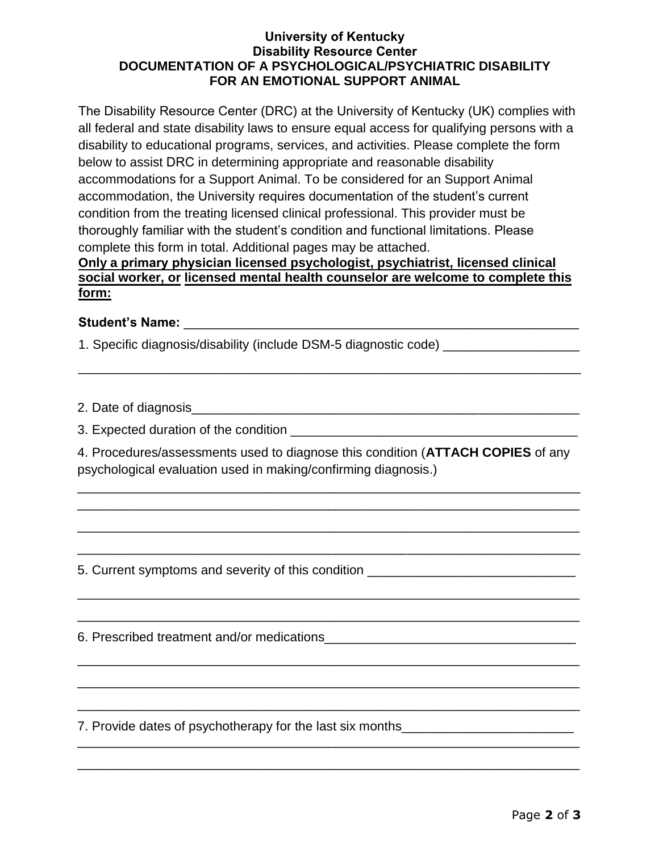#### **University of Kentucky Disability Resource Center DOCUMENTATION OF A PSYCHOLOGICAL/PSYCHIATRIC DISABILITY FOR AN EMOTIONAL SUPPORT ANIMAL**

The Disability Resource Center (DRC) at the University of Kentucky (UK) complies with all federal and state disability laws to ensure equal access for qualifying persons with a disability to educational programs, services, and activities. Please complete the form below to assist DRC in determining appropriate and reasonable disability accommodations for a Support Animal. To be considered for an Support Animal accommodation, the University requires documentation of the student's current condition from the treating licensed clinical professional. This provider must be thoroughly familiar with the student's condition and functional limitations. Please complete this form in total. Additional pages may be attached.

## **Only a primary physician licensed psychologist, psychiatrist, licensed clinical social worker, or licensed mental health counselor are welcome to complete this form:**

\_\_\_\_\_\_\_\_\_\_\_\_\_\_\_\_\_\_\_\_\_\_\_\_\_\_\_\_\_\_\_\_\_\_\_\_\_\_\_\_\_\_\_\_\_\_\_\_\_\_\_\_\_\_\_\_\_\_\_\_\_\_\_\_\_\_\_\_\_\_

## **Student's Name:** <u>and the student's</u> notation of the student's notation of the student's student of the student of the student of the student of the student of the student of the student of the student of the student of t

1. Specific diagnosis/disability (include DSM-5 diagnostic code)

2. Date of diagnosis\_\_\_\_\_\_\_\_\_\_\_\_\_\_\_\_\_\_\_\_\_\_\_\_\_\_\_\_\_\_\_\_\_\_\_\_\_\_\_\_\_\_\_\_\_\_\_\_\_\_\_\_\_\_

3. Expected duration of the condition **of the condition** 

4. Procedures/assessments used to diagnose this condition (**ATTACH COPIES** of any psychological evaluation used in making/confirming diagnosis.)

\_\_\_\_\_\_\_\_\_\_\_\_\_\_\_\_\_\_\_\_\_\_\_\_\_\_\_\_\_\_\_\_\_\_\_\_\_\_\_\_\_\_\_\_\_\_\_\_\_\_\_\_\_\_\_\_\_\_\_\_\_\_\_\_\_\_\_\_\_\_ \_\_\_\_\_\_\_\_\_\_\_\_\_\_\_\_\_\_\_\_\_\_\_\_\_\_\_\_\_\_\_\_\_\_\_\_\_\_\_\_\_\_\_\_\_\_\_\_\_\_\_\_\_\_\_\_\_\_\_\_\_\_\_\_\_\_\_\_\_\_

\_\_\_\_\_\_\_\_\_\_\_\_\_\_\_\_\_\_\_\_\_\_\_\_\_\_\_\_\_\_\_\_\_\_\_\_\_\_\_\_\_\_\_\_\_\_\_\_\_\_\_\_\_\_\_\_\_\_\_\_\_\_\_\_\_\_\_\_\_\_

\_\_\_\_\_\_\_\_\_\_\_\_\_\_\_\_\_\_\_\_\_\_\_\_\_\_\_\_\_\_\_\_\_\_\_\_\_\_\_\_\_\_\_\_\_\_\_\_\_\_\_\_\_\_\_\_\_\_\_\_\_\_\_\_\_\_\_\_\_\_

\_\_\_\_\_\_\_\_\_\_\_\_\_\_\_\_\_\_\_\_\_\_\_\_\_\_\_\_\_\_\_\_\_\_\_\_\_\_\_\_\_\_\_\_\_\_\_\_\_\_\_\_\_\_\_\_\_\_\_\_\_\_\_\_\_\_\_\_\_\_

\_\_\_\_\_\_\_\_\_\_\_\_\_\_\_\_\_\_\_\_\_\_\_\_\_\_\_\_\_\_\_\_\_\_\_\_\_\_\_\_\_\_\_\_\_\_\_\_\_\_\_\_\_\_\_\_\_\_\_\_\_\_\_\_\_\_\_\_\_\_

\_\_\_\_\_\_\_\_\_\_\_\_\_\_\_\_\_\_\_\_\_\_\_\_\_\_\_\_\_\_\_\_\_\_\_\_\_\_\_\_\_\_\_\_\_\_\_\_\_\_\_\_\_\_\_\_\_\_\_\_\_\_\_\_\_\_\_\_\_\_

\_\_\_\_\_\_\_\_\_\_\_\_\_\_\_\_\_\_\_\_\_\_\_\_\_\_\_\_\_\_\_\_\_\_\_\_\_\_\_\_\_\_\_\_\_\_\_\_\_\_\_\_\_\_\_\_\_\_\_\_\_\_\_\_\_\_\_\_\_\_

\_\_\_\_\_\_\_\_\_\_\_\_\_\_\_\_\_\_\_\_\_\_\_\_\_\_\_\_\_\_\_\_\_\_\_\_\_\_\_\_\_\_\_\_\_\_\_\_\_\_\_\_\_\_\_\_\_\_\_\_\_\_\_\_\_\_\_\_\_\_

\_\_\_\_\_\_\_\_\_\_\_\_\_\_\_\_\_\_\_\_\_\_\_\_\_\_\_\_\_\_\_\_\_\_\_\_\_\_\_\_\_\_\_\_\_\_\_\_\_\_\_\_\_\_\_\_\_\_\_\_\_\_\_\_\_\_\_\_\_\_

\_\_\_\_\_\_\_\_\_\_\_\_\_\_\_\_\_\_\_\_\_\_\_\_\_\_\_\_\_\_\_\_\_\_\_\_\_\_\_\_\_\_\_\_\_\_\_\_\_\_\_\_\_\_\_\_\_\_\_\_\_\_\_\_\_\_\_\_\_\_

5. Current symptoms and severity of this condition \_\_\_\_\_\_\_\_\_\_\_\_\_\_\_\_\_\_\_\_\_\_\_\_\_\_\_\_\_

6. Prescribed treatment and/or medications\_\_\_\_\_\_\_\_\_\_\_\_\_\_\_\_\_\_\_\_\_\_\_\_\_\_\_\_\_\_\_\_\_\_\_

7. Provide dates of psychotherapy for the last six months